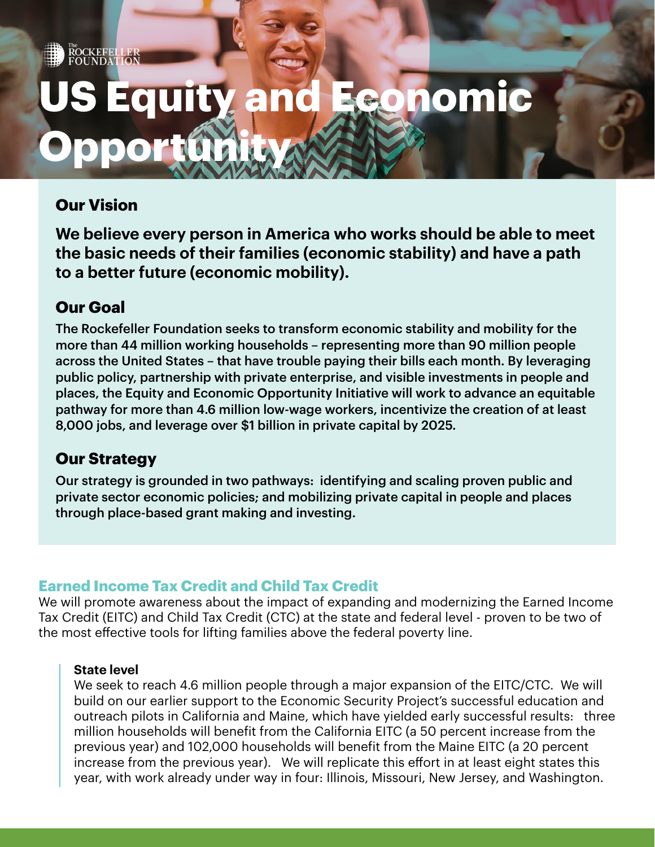# **Equity and Economic Opportunity**

# **Our Vision**

ROCKEFELLER<br>FOUNDATION

**We believe every person in America who works should be able to meet the basic needs of their families (economic stability) and have a path to a better future (economic mobility).** 

## **Our Goal**

The Rockefeller Foundation seeks to transform economic stability and mobility for the more than 44 million working households – representing more than 90 million people across the United States – that have trouble paying their bills each month. By leveraging public policy, partnership with private enterprise, and visible investments in people and places, the Equity and Economic Opportunity Initiative will work to advance an equitable pathway for more than 4.6 million low-wage workers, incentivize the creation of at least 8,000 jobs, and leverage over \$1 billion in private capital by 2025.

### **Our Strategy**

Our strategy is grounded in two pathways: identifying and scaling proven public and private sector economic policies; and mobilizing private capital in people and places through place-based grant making and investing.

### **Earned Income Tax Credit and Child Tax Credit**

We will promote awareness about the impact of expanding and modernizing the Earned Income Tax Credit (EITC) and Child Tax Credit (CTC) at the state and federal level - proven to be two of the most effective tools for lifting families above the federal poverty line.

#### **State level**

We seek to reach 4.6 million people through a major expansion of the EITC/CTC. We will build on our earlier support to the Economic Security Project's successful education and outreach pilots in California and Maine, which have yielded early successful results: three million households will benefit from the California EITC (a 50 percent increase from the previous year) and 102,000 households will benefit from the Maine EITC (a 20 percent increase from the previous year). We will replicate this effort in at least eight states this year, with work already under way in four: Illinois, Missouri, New Jersey, and Washington.